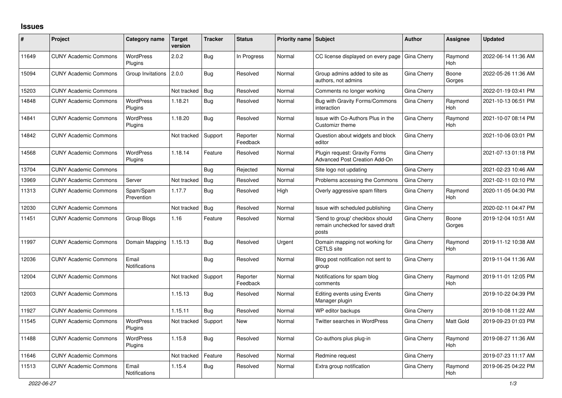## **Issues**

| #     | Project                      | Category name                 | <b>Target</b><br>version | <b>Tracker</b> | <b>Status</b>        | <b>Priority name   Subject</b> |                                                                             | <b>Author</b> | Assignee              | <b>Updated</b>      |
|-------|------------------------------|-------------------------------|--------------------------|----------------|----------------------|--------------------------------|-----------------------------------------------------------------------------|---------------|-----------------------|---------------------|
| 11649 | <b>CUNY Academic Commons</b> | <b>WordPress</b><br>Plugins   | 2.0.2                    | Bug            | In Progress          | Normal                         | CC license displayed on every page                                          | Gina Cherry   | Raymond<br><b>Hoh</b> | 2022-06-14 11:36 AM |
| 15094 | <b>CUNY Academic Commons</b> | Group Invitations             | 2.0.0                    | Bug            | Resolved             | Normal                         | Group admins added to site as<br>authors, not admins                        | Gina Cherry   | Boone<br>Gorges       | 2022-05-26 11:36 AM |
| 15203 | <b>CUNY Academic Commons</b> |                               | Not tracked              | <b>Bug</b>     | Resolved             | Normal                         | Comments no longer working                                                  | Gina Cherry   |                       | 2022-01-19 03:41 PM |
| 14848 | <b>CUNY Academic Commons</b> | <b>WordPress</b><br>Plugins   | 1.18.21                  | <b>Bug</b>     | Resolved             | Normal                         | <b>Bug with Gravity Forms/Commons</b><br>interaction                        | Gina Cherry   | Raymond<br>Hoh        | 2021-10-13 06:51 PM |
| 14841 | <b>CUNY Academic Commons</b> | <b>WordPress</b><br>Plugins   | 1.18.20                  | <b>Bug</b>     | Resolved             | Normal                         | Issue with Co-Authors Plus in the<br>Customizr theme                        | Gina Cherry   | Raymond<br><b>Hoh</b> | 2021-10-07 08:14 PM |
| 14842 | <b>CUNY Academic Commons</b> |                               | Not tracked              | Support        | Reporter<br>Feedback | Normal                         | Question about widgets and block<br>editor                                  | Gina Cherry   |                       | 2021-10-06 03:01 PM |
| 14568 | <b>CUNY Academic Commons</b> | <b>WordPress</b><br>Plugins   | 1.18.14                  | Feature        | Resolved             | Normal                         | Plugin request: Gravity Forms<br>Advanced Post Creation Add-On              | Gina Cherry   |                       | 2021-07-13 01:18 PM |
| 13704 | <b>CUNY Academic Commons</b> |                               |                          | Bug            | Rejected             | Normal                         | Site logo not updating                                                      | Gina Cherry   |                       | 2021-02-23 10:46 AM |
| 13969 | <b>CUNY Academic Commons</b> | Server                        | Not tracked              | Bug            | Resolved             | Normal                         | Problems accessing the Commons                                              | Gina Cherry   |                       | 2021-02-11 03:10 PM |
| 11313 | <b>CUNY Academic Commons</b> | Spam/Spam<br>Prevention       | 1.17.7                   | Bug            | Resolved             | High                           | Overly aggressive spam filters                                              | Gina Cherry   | Raymond<br><b>Hoh</b> | 2020-11-05 04:30 PM |
| 12030 | <b>CUNY Academic Commons</b> |                               | Not tracked              | Bug            | Resolved             | Normal                         | Issue with scheduled publishing                                             | Gina Cherry   |                       | 2020-02-11 04:47 PM |
| 11451 | <b>CUNY Academic Commons</b> | Group Blogs                   | 1.16                     | Feature        | Resolved             | Normal                         | Send to group' checkbox should<br>remain unchecked for saved draft<br>posts | Gina Cherry   | Boone<br>Gorges       | 2019-12-04 10:51 AM |
| 11997 | <b>CUNY Academic Commons</b> | Domain Mapping                | 1.15.13                  | <b>Bug</b>     | Resolved             | Urgent                         | Domain mapping not working for<br><b>CETLS</b> site                         | Gina Cherry   | Raymond<br><b>Hoh</b> | 2019-11-12 10:38 AM |
| 12036 | <b>CUNY Academic Commons</b> | Email<br><b>Notifications</b> |                          | Bug            | Resolved             | Normal                         | Blog post notification not sent to<br>group                                 | Gina Cherry   |                       | 2019-11-04 11:36 AM |
| 12004 | <b>CUNY Academic Commons</b> |                               | Not tracked              | Support        | Reporter<br>Feedback | Normal                         | Notifications for spam blog<br>comments                                     | Gina Cherry   | Raymond<br><b>Hoh</b> | 2019-11-01 12:05 PM |
| 12003 | <b>CUNY Academic Commons</b> |                               | 1.15.13                  | Bug            | Resolved             | Normal                         | <b>Editing events using Events</b><br>Manager plugin                        | Gina Cherry   |                       | 2019-10-22 04:39 PM |
| 11927 | <b>CUNY Academic Commons</b> |                               | 1.15.11                  | <b>Bug</b>     | Resolved             | Normal                         | WP editor backups                                                           | Gina Cherry   |                       | 2019-10-08 11:22 AM |
| 11545 | <b>CUNY Academic Commons</b> | <b>WordPress</b><br>Plugins   | Not tracked              | Support        | <b>New</b>           | Normal                         | Twitter searches in WordPress                                               | Gina Cherry   | <b>Matt Gold</b>      | 2019-09-23 01:03 PM |
| 11488 | <b>CUNY Academic Commons</b> | <b>WordPress</b><br>Plugins   | 1.15.8                   | <b>Bug</b>     | Resolved             | Normal                         | Co-authors plus plug-in                                                     | Gina Cherry   | Raymond<br><b>Hoh</b> | 2019-08-27 11:36 AM |
| 11646 | <b>CUNY Academic Commons</b> |                               | Not tracked              | Feature        | Resolved             | Normal                         | Redmine request                                                             | Gina Cherry   |                       | 2019-07-23 11:17 AM |
| 11513 | <b>CUNY Academic Commons</b> | Email<br><b>Notifications</b> | 1.15.4                   | <b>Bug</b>     | Resolved             | Normal                         | Extra group notification                                                    | Gina Cherry   | Raymond<br>Hoh        | 2019-06-25 04:22 PM |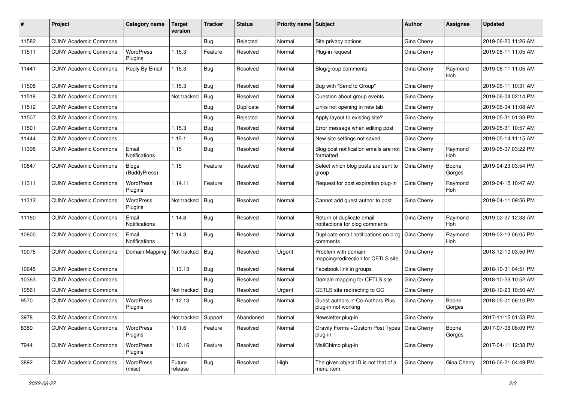| #     | Project                      | Category name                 | Target<br>version | <b>Tracker</b> | <b>Status</b> | Priority name Subject |                                                             | Author      | Assignee              | <b>Updated</b>      |
|-------|------------------------------|-------------------------------|-------------------|----------------|---------------|-----------------------|-------------------------------------------------------------|-------------|-----------------------|---------------------|
| 11582 | <b>CUNY Academic Commons</b> |                               |                   | <b>Bug</b>     | Rejected      | Normal                | Site privacy options                                        | Gina Cherry |                       | 2019-06-20 11:26 AM |
| 11511 | <b>CUNY Academic Commons</b> | <b>WordPress</b><br>Plugins   | 1.15.3            | Feature        | Resolved      | Normal                | Plug-in request                                             | Gina Cherry |                       | 2019-06-11 11:05 AM |
| 11441 | <b>CUNY Academic Commons</b> | Reply By Email                | 1.15.3            | Bug            | Resolved      | Normal                | Blog/group comments                                         | Gina Cherry | Raymond<br><b>Hoh</b> | 2019-06-11 11:05 AM |
| 11508 | <b>CUNY Academic Commons</b> |                               | 1.15.3            | Bug            | Resolved      | Normal                | Bug with "Send to Group"                                    | Gina Cherry |                       | 2019-06-11 10:31 AM |
| 11518 | <b>CUNY Academic Commons</b> |                               | Not tracked       | Bug            | Resolved      | Normal                | Question about group events                                 | Gina Cherry |                       | 2019-06-04 02:14 PM |
| 11512 | <b>CUNY Academic Commons</b> |                               |                   | <b>Bug</b>     | Duplicate     | Normal                | Links not opening in new tab                                | Gina Cherry |                       | 2019-06-04 11:08 AM |
| 11507 | <b>CUNY Academic Commons</b> |                               |                   | <b>Bug</b>     | Rejected      | Normal                | Apply layout to existing site?                              | Gina Cherry |                       | 2019-05-31 01:33 PM |
| 11501 | <b>CUNY Academic Commons</b> |                               | 1.15.3            | <b>Bug</b>     | Resolved      | Normal                | Error message when editing post                             | Gina Cherry |                       | 2019-05-31 10:57 AM |
| 11444 | <b>CUNY Academic Commons</b> |                               | 1.15.1            | <b>Bug</b>     | Resolved      | Normal                | New site settings not saved                                 | Gina Cherry |                       | 2019-05-14 11:15 AM |
| 11398 | <b>CUNY Academic Commons</b> | Email<br><b>Notifications</b> | 1.15              | Bug            | Resolved      | Normal                | Blog post notification emails are not<br>formatted          | Gina Cherry | Raymond<br><b>Hoh</b> | 2019-05-07 03:22 PM |
| 10847 | <b>CUNY Academic Commons</b> | <b>Blogs</b><br>(BuddyPress)  | 1.15              | Feature        | Resolved      | Normal                | Select which blog posts are sent to<br>group                | Gina Cherry | Boone<br>Gorges       | 2019-04-23 03:54 PM |
| 11311 | <b>CUNY Academic Commons</b> | WordPress<br>Plugins          | 1.14.11           | Feature        | Resolved      | Normal                | Request for post expiration plug-in                         | Gina Cherry | Raymond<br>Hoh        | 2019-04-15 10:47 AM |
| 11312 | <b>CUNY Academic Commons</b> | <b>WordPress</b><br>Plugins   | Not tracked       | Bug            | Resolved      | Normal                | Cannot add guest author to post                             | Gina Cherry |                       | 2019-04-11 09:56 PM |
| 11160 | <b>CUNY Academic Commons</b> | Email<br>Notifications        | 1.14.8            | Bug            | Resolved      | Normal                | Return of duplicate email<br>notifactions for blog comments | Gina Cherry | Raymond<br><b>Hoh</b> | 2019-02-27 12:33 AM |
| 10800 | <b>CUNY Academic Commons</b> | Email<br>Notifications        | 1.14.3            | Bug            | Resolved      | Normal                | Duplicate email notifications on blog<br>comments           | Gina Cherry | Raymond<br>Hoh        | 2019-02-13 06:05 PM |
| 10075 | <b>CUNY Academic Commons</b> | Domain Mapping                | Not tracked       | Bug            | Resolved      | Urgent                | Problem with domain<br>mapping/redirection for CETLS site   | Gina Cherry |                       | 2018-12-10 03:50 PM |
| 10645 | <b>CUNY Academic Commons</b> |                               | 1.13.13           | Bug            | Resolved      | Normal                | Facebook link in groups                                     | Gina Cherry |                       | 2018-10-31 04:51 PM |
| 10363 | <b>CUNY Academic Commons</b> |                               |                   | Bug            | Resolved      | Normal                | Domain mapping for CETLS site                               | Gina Cherry |                       | 2018-10-23 10:52 AM |
| 10561 | <b>CUNY Academic Commons</b> |                               | Not tracked       | Bug            | Resolved      | Urgent                | CETLS site redirecting to GC                                | Gina Cherry |                       | 2018-10-23 10:50 AM |
| 9570  | <b>CUNY Academic Commons</b> | <b>WordPress</b><br>Plugins   | 1.12.13           | Bug            | Resolved      | Normal                | Guest authors in Co-Authors Plus<br>plug-in not working     | Gina Cherry | Boone<br>Gorges       | 2018-05-01 06:10 PM |
| 3978  | <b>CUNY Academic Commons</b> |                               | Not tracked       | Support        | Abandoned     | Normal                | Newsletter plug-in                                          | Gina Cherry |                       | 2017-11-15 01:53 PM |
| 8389  | <b>CUNY Academic Commons</b> | <b>WordPress</b><br>Plugins   | 1.11.6            | Feature        | Resolved      | Normal                | Gravity Forms + Custom Post Types   Gina Cherry<br>plug-in  |             | Boone<br>Gorges       | 2017-07-06 08:09 PM |
| 7944  | <b>CUNY Academic Commons</b> | WordPress<br>Plugins          | 1.10.16           | Feature        | Resolved      | Normal                | MailChimp plug-in                                           | Gina Cherry |                       | 2017-04-11 12:38 PM |
| 3892  | <b>CUNY Academic Commons</b> | WordPress<br>(misc)           | Future<br>release | <b>Bug</b>     | Resolved      | High                  | The given object ID is not that of a<br>menu item.          | Gina Cherry | Gina Cherry           | 2016-06-21 04:49 PM |